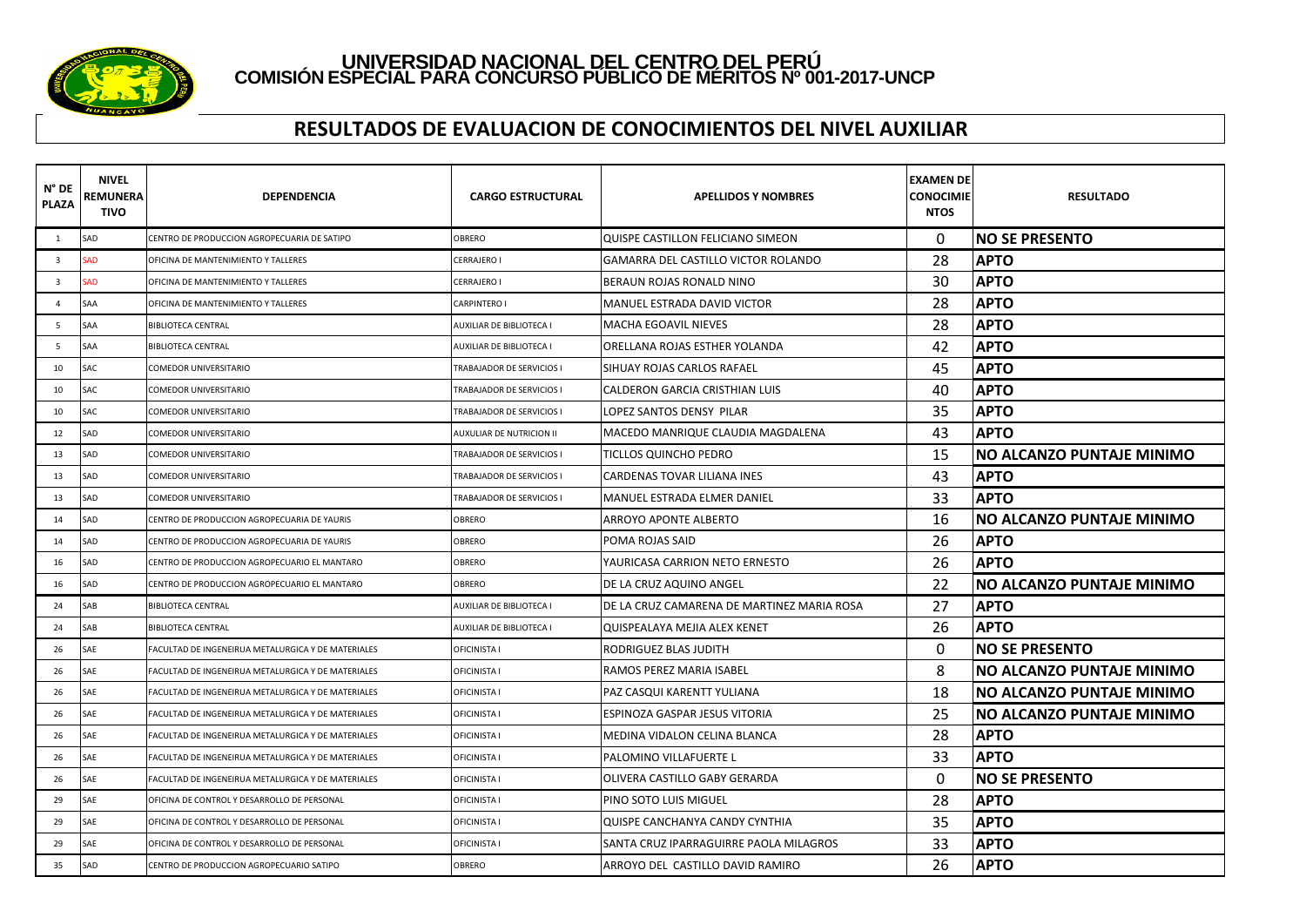

#### **RESULTADOS DE EVALUACION DE CONOCIMIENTOS DEL NIVEL AUXILIAR**

| $N^{\circ}$ DE<br><b>PLAZA</b> | <b>NIVEL</b><br>REMUNERA<br>TIVO | DEPENDENCIA                                        | <b>CARGO ESTRUCTURAL</b>  | <b>APELLIDOS Y NOMBRES</b>                 | <b>EXAMEN DE</b><br><b>CONOCIMIE</b><br><b>NTOS</b> | <b>RESULTADO</b>                 |
|--------------------------------|----------------------------------|----------------------------------------------------|---------------------------|--------------------------------------------|-----------------------------------------------------|----------------------------------|
| <sup>1</sup>                   | SAD                              | CENTRO DE PRODUCCION AGROPECUARIA DE SATIPO        | OBRERO                    | QUISPE CASTILLON FELICIANO SIMEON          | 0                                                   | <b>INO SE PRESENTO</b>           |
| $\overline{\mathbf{3}}$        | <b>SAD</b>                       | OFICINA DE MANTENIMIENTO Y TALLERES                | CERRAJERO I               | GAMARRA DEL CASTILLO VICTOR ROLANDO        | 28                                                  | <b>APTO</b>                      |
| $\overline{\mathbf{3}}$        | <b>SAD</b>                       | OFICINA DE MANTENIMIENTO Y TALLERES                | CERRAJERO I               | BERAUN ROJAS RONALD NINO                   | 30                                                  | <b>APTO</b>                      |
| $\overline{4}$                 | SAA                              | OFICINA DE MANTENIMIENTO Y TALLERES                | CARPINTERO I              | <b>MANUEL ESTRADA DAVID VICTOR</b>         | 28                                                  | <b>APTO</b>                      |
| .5                             | <b>SAA</b>                       | <b>BIBLIOTECA CENTRAL</b>                          | AUXILIAR DE BIBLIOTECA I  | <b>MACHA EGOAVIL NIEVES</b>                | 28                                                  | <b>APTO</b>                      |
| 5                              | <b>SAA</b>                       | <b>BIBLIOTECA CENTRAL</b>                          | AUXILIAR DE BIBLIOTECA I  | ORELLANA ROJAS ESTHER YOLANDA              | 42                                                  | <b>APTO</b>                      |
| 10                             | SAC                              | COMEDOR UNIVERSITARIO                              | TRABAJADOR DE SERVICIOS I | SIHUAY ROJAS CARLOS RAFAEL                 | 45                                                  | <b>APTO</b>                      |
| 10                             | <b>SAC</b>                       | COMEDOR UNIVERSITARIO                              | TRABAJADOR DE SERVICIOS I | CALDERON GARCIA CRISTHIAN LUIS             | 40                                                  | <b>APTO</b>                      |
| 10                             | <b>SAC</b>                       | <b>COMEDOR UNIVERSITARIO</b>                       | TRABAJADOR DE SERVICIOS I | LOPEZ SANTOS DENSY PILAR                   | 35                                                  | <b>APTO</b>                      |
| 12                             | <b>SAD</b>                       | COMEDOR UNIVERSITARIO                              | AUXULIAR DE NUTRICION II  | MACEDO MANRIQUE CLAUDIA MAGDALENA          | 43                                                  | <b>APTO</b>                      |
| 13                             | SAD                              | <b>COMEDOR UNIVERSITARIO</b>                       | TRABAJADOR DE SERVICIOS I | TICLLOS QUINCHO PEDRO                      | 15                                                  | <b>NO ALCANZO PUNTAJE MINIMO</b> |
| 13                             | SAD                              | COMEDOR UNIVERSITARIO                              | TRABAJADOR DE SERVICIOS I | CARDENAS TOVAR LILIANA INES                | 43                                                  | <b>APTO</b>                      |
| 13                             | SAD                              | COMEDOR UNIVERSITARIO                              | TRABAJADOR DE SERVICIOS I | MANUEL ESTRADA ELMER DANIEL                | 33                                                  | <b>APTO</b>                      |
| 14                             | SAD                              | CENTRO DE PRODUCCION AGROPECUARIA DE YAURIS        | OBRERO                    | ARROYO APONTE ALBERTO                      | 16                                                  | INO ALCANZO PUNTAJE MINIMO       |
| 14                             | SAD                              | CENTRO DE PRODUCCION AGROPECUARIA DE YAURIS        | OBRERO                    | POMA ROJAS SAID                            | 26                                                  | <b>APTO</b>                      |
| 16                             | SAD                              | CENTRO DE PRODUCCION AGROPECUARIO EL MANTARO       | OBRERO                    | YAURICASA CARRION NETO ERNESTO             | 26                                                  | <b>APTO</b>                      |
| 16                             | SAD                              | CENTRO DE PRODUCCION AGROPECUARIO EL MANTARO       | OBRERO                    | DE LA CRUZ AQUINO ANGEL                    | 22                                                  | INO ALCANZO PUNTAJE MINIMO       |
| 24                             | SAB                              | <b>BIBLIOTECA CENTRAL</b>                          | AUXILIAR DE BIBLIOTECA I  | DE LA CRUZ CAMARENA DE MARTINEZ MARIA ROSA | 27                                                  | <b>APTO</b>                      |
| 24                             | SAB                              | <b>BIBLIOTECA CENTRAL</b>                          | AUXILIAR DE BIBLIOTECA I  | QUISPEALAYA MEJIA ALEX KENET               | 26                                                  | <b>APTO</b>                      |
| 26                             | SAE                              | FACULTAD DE INGENEIRUA METALURGICA Y DE MATERIALES | OFICINISTA I              | RODRIGUEZ BLAS JUDITH                      | $\Omega$                                            | <b>NO SE PRESENTO</b>            |
| 26                             | SAE                              | FACULTAD DE INGENEIRUA METALURGICA Y DE MATERIALES | OFICINISTA I              | RAMOS PEREZ MARIA ISABEL                   | 8                                                   | NO ALCANZO PUNTAJE MINIMO        |
| 26                             | SAE                              | FACULTAD DE INGENEIRUA METALURGICA Y DE MATERIALES | OFICINISTA I              | PAZ CASQUI KARENTT YULIANA                 | 18                                                  | NO ALCANZO PUNTAJE MINIMO        |
| 26                             | SAE                              | FACULTAD DE INGENEIRUA METALURGICA Y DE MATERIALES | OFICINISTA I              | ESPINOZA GASPAR JESUS VITORIA              | 25                                                  | NO ALCANZO PUNTAJE MINIMO        |
| 26                             | SAE                              | FACULTAD DE INGENEIRUA METALURGICA Y DE MATERIALES | OFICINISTA I              | MEDINA VIDALON CELINA BLANCA               | 28                                                  | <b>APTO</b>                      |
| 26                             | SAE                              | FACULTAD DE INGENEIRUA METALURGICA Y DE MATERIALES | OFICINISTA I              | PALOMINO VILLAFUERTE L                     | 33                                                  | <b>APTO</b>                      |
| 26                             | SAE                              | FACULTAD DE INGENEIRUA METALURGICA Y DE MATERIALES | OFICINISTA I              | OLIVERA CASTILLO GABY GERARDA              | $\mathbf{0}$                                        | <b>NO SE PRESENTO</b>            |
| 29                             | SAE                              | OFICINA DE CONTROL Y DESARROLLO DE PERSONAL        | OFICINISTA I              | PINO SOTO LUIS MIGUEL                      | 28                                                  | <b>APTO</b>                      |
| 29                             | SAE                              | OFICINA DE CONTROL Y DESARROLLO DE PERSONAL        | OFICINISTA I              | QUISPE CANCHANYA CANDY CYNTHIA             | 35                                                  | <b>APTO</b>                      |
| 29                             | SAE                              | OFICINA DE CONTROL Y DESARROLLO DE PERSONAL        | OFICINISTA I              | SANTA CRUZ IPARRAGUIRRE PAOLA MILAGROS     | 33                                                  | <b>APTO</b>                      |
| 35                             | SAD                              | CENTRO DE PRODUCCION AGROPECUARIO SATIPO           | OBRERO                    | ARROYO DEL CASTILLO DAVID RAMIRO           | 26                                                  | <b>APTO</b>                      |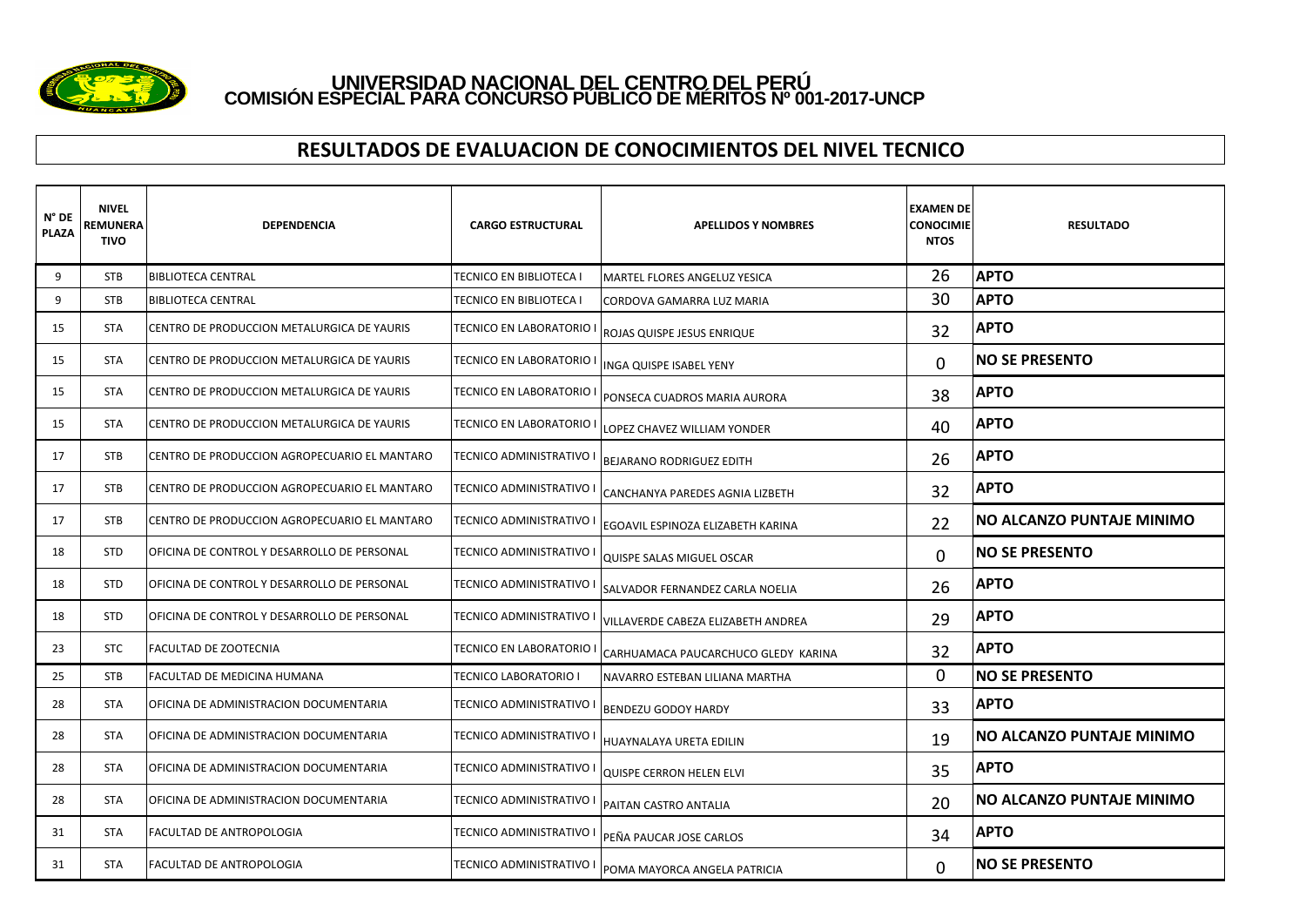

#### **RESULTADOS DE EVALUACION DE CONOCIMIENTOS DEL NIVEL TECNICO**

| N° DE<br><b>PLAZA</b> | <b>NIVEL</b><br>REMUNERA<br><b>TIVO</b> | <b>DEPENDENCIA</b>                           | <b>CARGO ESTRUCTURAL</b> | <b>APELLIDOS Y NOMBRES</b>          | <b>EXAMEN DE</b><br><b>CONOCIMIE</b><br><b>NTOS</b> | <b>RESULTADO</b>                 |
|-----------------------|-----------------------------------------|----------------------------------------------|--------------------------|-------------------------------------|-----------------------------------------------------|----------------------------------|
| 9                     | <b>STB</b>                              | <b>BIBLIOTECA CENTRAL</b>                    | TECNICO EN BIBLIOTECA I  | MARTEL FLORES ANGELUZ YESICA        | 26                                                  | <b>APTO</b>                      |
| 9                     | <b>STB</b>                              | <b>BIBLIOTECA CENTRAL</b>                    | TECNICO EN BIBLIOTECA I  | CORDOVA GAMARRA LUZ MARIA           | 30                                                  | <b>APTO</b>                      |
| 15                    | <b>STA</b>                              | CENTRO DE PRODUCCION METALURGICA DE YAURIS   | TECNICO EN LABORATORIO I | ROJAS QUISPE JESUS ENRIQUE          | 32                                                  | <b>APTO</b>                      |
| 15                    | <b>STA</b>                              | CENTRO DE PRODUCCION METALURGICA DE YAURIS   | TECNICO EN LABORATORIO I | INGA QUISPE ISABEL YENY             | $\Omega$                                            | <b>NO SE PRESENTO</b>            |
| 15                    | <b>STA</b>                              | CENTRO DE PRODUCCION METALURGICA DE YAURIS   | TECNICO EN LABORATORIO I | PONSECA CUADROS MARIA AURORA        | 38                                                  | <b>APTO</b>                      |
| 15                    | <b>STA</b>                              | CENTRO DE PRODUCCION METALURGICA DE YAURIS   | TECNICO EN LABORATORIO   | LOPEZ CHAVEZ WILLIAM YONDER         | 40                                                  | <b>APTO</b>                      |
| 17                    | <b>STB</b>                              | CENTRO DE PRODUCCION AGROPECUARIO EL MANTARO | TECNICO ADMINISTRATIVO I | <b>BEJARANO RODRIGUEZ EDITH</b>     | 26                                                  | <b>APTO</b>                      |
| 17                    | <b>STB</b>                              | CENTRO DE PRODUCCION AGROPECUARIO EL MANTARO | TECNICO ADMINISTRATIVO I | CANCHANYA PAREDES AGNIA LIZBETH     | 32                                                  | <b>APTO</b>                      |
| 17                    | <b>STB</b>                              | CENTRO DE PRODUCCION AGROPECUARIO EL MANTARO | TECNICO ADMINISTRATIVO I | EGOAVIL ESPINOZA ELIZABETH KARINA   | 22                                                  | <b>NO ALCANZO PUNTAJE MINIMO</b> |
| 18                    | <b>STD</b>                              | OFICINA DE CONTROL Y DESARROLLO DE PERSONAL  | TECNICO ADMINISTRATIVO I | QUISPE SALAS MIGUEL OSCAR           | 0                                                   | <b>NO SE PRESENTO</b>            |
| 18                    | <b>STD</b>                              | OFICINA DE CONTROL Y DESARROLLO DE PERSONAL  | TECNICO ADMINISTRATIVO I | SALVADOR FERNANDEZ CARLA NOELIA     | 26                                                  | <b>APTO</b>                      |
| 18                    | <b>STD</b>                              | OFICINA DE CONTROL Y DESARROLLO DE PERSONAL  | TECNICO ADMINISTRATIVO I | VILLAVERDE CABEZA ELIZABETH ANDREA  | 29                                                  | <b>APTO</b>                      |
| 23                    | <b>STC</b>                              | FACULTAD DE ZOOTECNIA                        | TECNICO EN LABORATORIO   | CARHUAMACA PAUCARCHUCO GLEDY KARINA | 32                                                  | <b>APTO</b>                      |
| 25                    | <b>STB</b>                              | FACULTAD DE MEDICINA HUMANA                  | TECNICO LABORATORIO I    | NAVARRO ESTEBAN LILIANA MARTHA      | 0                                                   | <b>NO SE PRESENTO</b>            |
| 28                    | <b>STA</b>                              | OFICINA DE ADMINISTRACION DOCUMENTARIA       | TECNICO ADMINISTRATIVO I | <b>BENDEZU GODOY HARDY</b>          | 33                                                  | <b>APTO</b>                      |
| 28                    | <b>STA</b>                              | OFICINA DE ADMINISTRACION DOCUMENTARIA       | TECNICO ADMINISTRATIVO I | HUAYNALAYA URETA EDILIN             | 19                                                  | <b>NO ALCANZO PUNTAJE MINIMO</b> |
| 28                    | <b>STA</b>                              | OFICINA DE ADMINISTRACION DOCUMENTARIA       | TECNICO ADMINISTRATIVO I | <b>QUISPE CERRON HELEN ELVI</b>     | 35                                                  | <b>APTO</b>                      |
| 28                    | STA                                     | OFICINA DE ADMINISTRACION DOCUMENTARIA       | TECNICO ADMINISTRATIVO I | PAITAN CASTRO ANTALIA               | 20                                                  | <b>NO ALCANZO PUNTAJE MINIMO</b> |
| 31                    | <b>STA</b>                              | FACULTAD DE ANTROPOLOGIA                     | TECNICO ADMINISTRATIVO I | PEÑA PAUCAR JOSE CARLOS             | 34                                                  | <b>APTO</b>                      |
| 31                    | <b>STA</b>                              | <b>FACULTAD DE ANTROPOLOGIA</b>              | TECNICO ADMINISTRATIVO I | POMA MAYORCA ANGELA PATRICIA        | 0                                                   | <b>NO SE PRESENTO</b>            |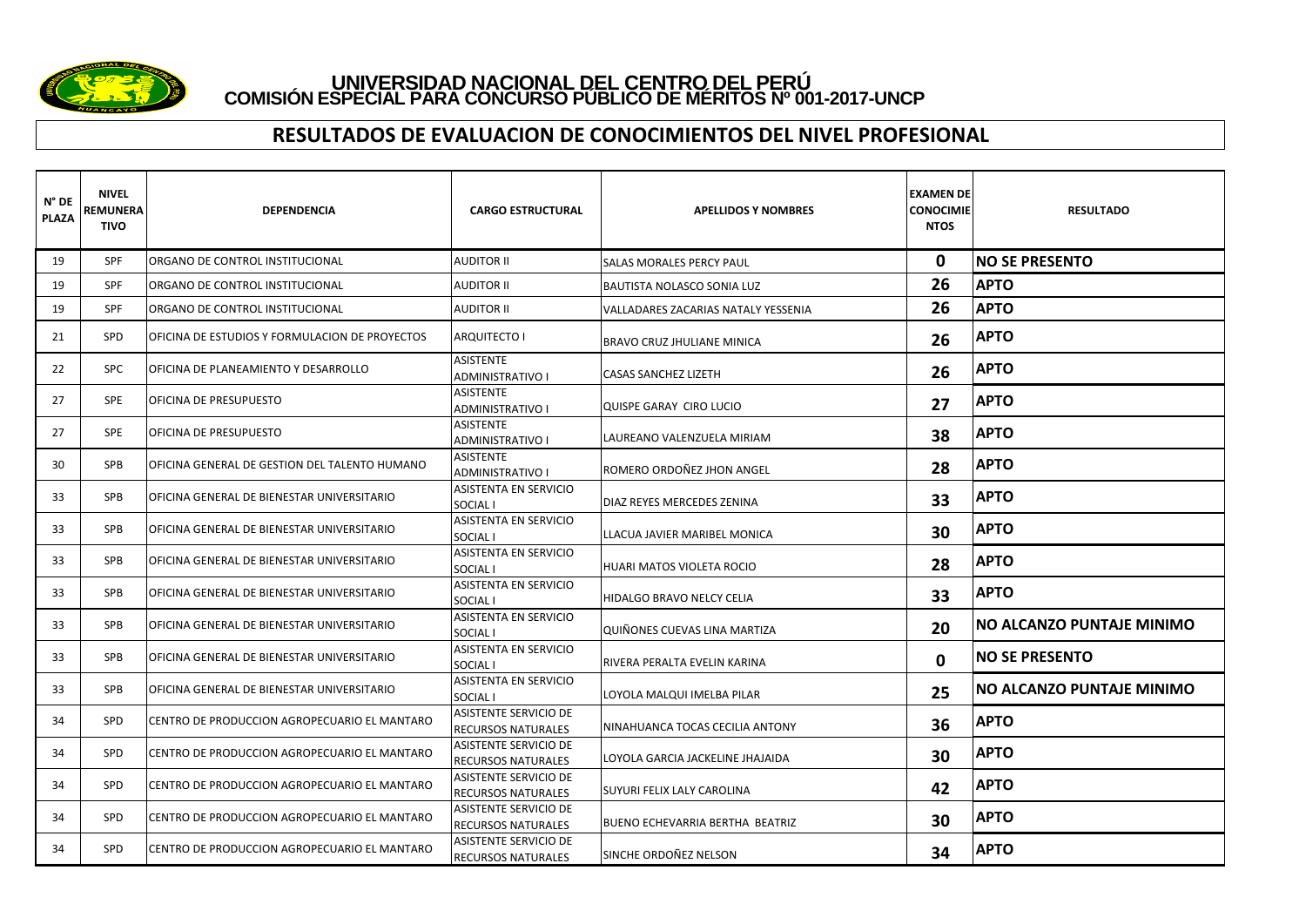

#### **RESULTADOS DE EVALUACION DE CONOCIMIENTOS DEL NIVEL PROFESIONAL**

| $N^{\circ}$ DE<br><b>PLAZA</b> | <b>NIVEL</b><br>REMUNERA<br>TIVO | DEPENDENCIA                                    | <b>CARGO ESTRUCTURAL</b>                                  | <b>APELLIDOS Y NOMBRES</b>          | <b>EXAMEN DE</b><br><b>CONOCIMIE</b><br><b>NTOS</b> | <b>RESULTADO</b>                 |
|--------------------------------|----------------------------------|------------------------------------------------|-----------------------------------------------------------|-------------------------------------|-----------------------------------------------------|----------------------------------|
| 19                             | <b>SPF</b>                       | ORGANO DE CONTROL INSTITUCIONAL                | <b>AUDITOR II</b>                                         | SALAS MORALES PERCY PAUL            | $\mathbf{0}$                                        | <b>INO SE PRESENTO</b>           |
| 19                             | SPF                              | ORGANO DE CONTROL INSTITUCIONAL                | <b>AUDITOR II</b>                                         | BAUTISTA NOLASCO SONIA LUZ          | 26                                                  | <b>APTO</b>                      |
| 19                             | <b>SPF</b>                       | ORGANO DE CONTROL INSTITUCIONAL                | <b>AUDITOR II</b>                                         | VALLADARES ZACARIAS NATALY YESSENIA | 26                                                  | <b>APTO</b>                      |
| 21                             | <b>SPD</b>                       | OFICINA DE ESTUDIOS Y FORMULACION DE PROYECTOS | <b>ARQUITECTO I</b>                                       | BRAVO CRUZ JHULIANE MINICA          | 26                                                  | <b>APTO</b>                      |
| 22                             | <b>SPC</b>                       | OFICINA DE PLANEAMIENTO Y DESARROLLO           | <b>ASISTENTE</b><br><b>ADMINISTRATIVO I</b>               | <b>CASAS SANCHEZ LIZETH</b>         | 26                                                  | <b>APTO</b>                      |
| 27                             | <b>SPE</b>                       | OFICINA DE PRESUPUESTO                         | <b>ASISTENTE</b><br><b>ADMINISTRATIVO I</b>               | <b>QUISPE GARAY CIRO LUCIO</b>      | 27                                                  | <b>APTO</b>                      |
| 27                             | <b>SPE</b>                       | OFICINA DE PRESUPUESTO                         | <b>ASISTENTE</b><br><b>ADMINISTRATIVO I</b>               | LAUREANO VALENZUELA MIRIAM          | 38                                                  | <b>APTO</b>                      |
| 30                             | <b>SPB</b>                       | OFICINA GENERAL DE GESTION DEL TALENTO HUMANO  | <b>ASISTENTE</b><br><b>ADMINISTRATIVO I</b>               | ROMERO ORDOÑEZ JHON ANGEL           | 28                                                  | <b>APTO</b>                      |
| 33                             | <b>SPB</b>                       | OFICINA GENERAL DE BIENESTAR UNIVERSITARIO     | <b>ASISTENTA EN SERVICIO</b><br>SOCIAL I                  | DIAZ REYES MERCEDES ZENINA          | 33                                                  | <b>APTO</b>                      |
| 33                             | <b>SPB</b>                       | OFICINA GENERAL DE BIENESTAR UNIVERSITARIO     | <b>ASISTENTA EN SERVICIO</b><br>SOCIAL I                  | LLACUA JAVIER MARIBEL MONICA        | 30                                                  | <b>APTO</b>                      |
| 33                             | <b>SPB</b>                       | OFICINA GENERAL DE BIENESTAR UNIVERSITARIO     | ASISTENTA EN SERVICIO<br>SOCIAL I                         | HUARI MATOS VIOLETA ROCIO           | 28                                                  | <b>APTO</b>                      |
| 33                             | SPB                              | OFICINA GENERAL DE BIENESTAR UNIVERSITARIO     | <b>ASISTENTA EN SERVICIO</b><br>SOCIAL I                  | HIDALGO BRAVO NELCY CELIA           | 33                                                  | <b>APTO</b>                      |
| 33                             | SPB                              | OFICINA GENERAL DE BIENESTAR UNIVERSITARIO     | <b>ASISTENTA EN SERVICIO</b><br>SOCIAL I                  | QUIÑONES CUEVAS LINA MARTIZA        | 20                                                  | <b>NO ALCANZO PUNTAJE MINIMO</b> |
| 33                             | SPB                              | OFICINA GENERAL DE BIENESTAR UNIVERSITARIO     | <b>ASISTENTA EN SERVICIO</b><br>SOCIAL I                  | RIVERA PERALTA EVELIN KARINA        | 0                                                   | <b>INO SE PRESENTO</b>           |
| 33                             | <b>SPB</b>                       | OFICINA GENERAL DE BIENESTAR UNIVERSITARIO     | <b>ASISTENTA EN SERVICIO</b><br>SOCIAL I                  | LOYOLA MALQUI IMELBA PILAR          | 25                                                  | <b>NO ALCANZO PUNTAJE MINIMO</b> |
| 34                             | <b>SPD</b>                       | CENTRO DE PRODUCCION AGROPECUARIO EL MANTARO   | <b>ASISTENTE SERVICIO DE</b><br><b>RECURSOS NATURALES</b> | NINAHUANCA TOCAS CECILIA ANTONY     | 36                                                  | <b>APTO</b>                      |
| 34                             | <b>SPD</b>                       | CENTRO DE PRODUCCION AGROPECUARIO EL MANTARO   | <b>ASISTENTE SERVICIO DE</b><br><b>RECURSOS NATURALES</b> | LOYOLA GARCIA JACKELINE JHAJAIDA    | 30                                                  | <b>APTO</b>                      |
| 34                             | SPD                              | CENTRO DE PRODUCCION AGROPECUARIO EL MANTARO   | <b>ASISTENTE SERVICIO DE</b><br><b>RECURSOS NATURALES</b> | SUYURI FELIX LALY CAROLINA          | 42                                                  | <b>APTO</b>                      |
| 34                             | <b>SPD</b>                       | CENTRO DE PRODUCCION AGROPECUARIO EL MANTARO   | <b>ASISTENTE SERVICIO DE</b><br><b>RECURSOS NATURALES</b> | BUENO ECHEVARRIA BERTHA BEATRIZ     | 30                                                  | <b>APTO</b>                      |
| 34                             | <b>SPD</b>                       | CENTRO DE PRODUCCION AGROPECUARIO EL MANTARO   | ASISTENTE SERVICIO DE<br><b>RECURSOS NATURALES</b>        | SINCHE ORDOÑEZ NELSON               | 34                                                  | <b>APTO</b>                      |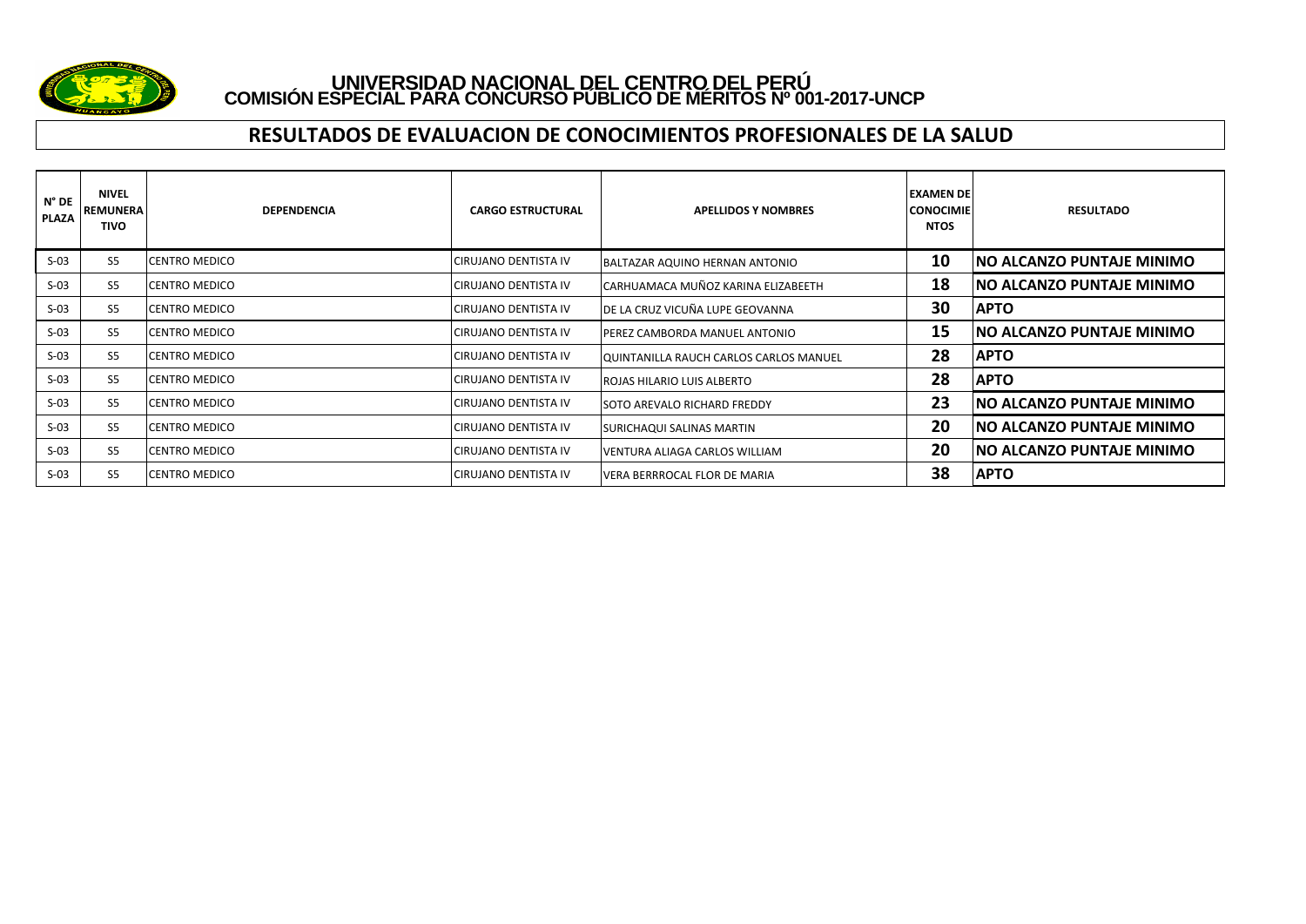

#### **RESULTADOS DE EVALUACION DE CONOCIMIENTOS PROFESIONALES DE LA SALUD**

| $N^{\circ}$ DE<br><b>PLAZA</b> | <b>NIVEL</b><br>REMUNERA<br><b>TIVO</b> | <b>DEPENDENCIA</b>   | <b>CARGO ESTRUCTURAL</b>     | <b>APELLIDOS Y NOMBRES</b>             | <b>EXAMEN DEI</b><br><b>CONOCIMIE</b><br><b>NTOS</b> | <b>RESULTADO</b>                  |
|--------------------------------|-----------------------------------------|----------------------|------------------------------|----------------------------------------|------------------------------------------------------|-----------------------------------|
| $S-03$                         | S <sub>5</sub>                          | <b>CENTRO MEDICO</b> | <b>CIRUJANO DENTISTA IV</b>  | BALTAZAR AQUINO HERNAN ANTONIO         | 10                                                   | <b>NO ALCANZO PUNTAJE MINIMO</b>  |
| $S-03$                         | S <sub>5</sub>                          | <b>CENTRO MEDICO</b> | <b>CIRUJANO DENTISTA IV</b>  | CARHUAMACA MUÑOZ KARINA ELIZABEETH     | 18                                                   | <b>NO ALCANZO PUNTAJE MINIMO</b>  |
| $S-03$                         | S <sub>5</sub>                          | <b>CENTRO MEDICO</b> | <b>CIRUJANO DENTISTA IV</b>  | DE LA CRUZ VICUÑA LUPE GEOVANNA        | 30                                                   | <b>APTO</b>                       |
| $S-03$                         | S <sub>5</sub>                          | <b>CENTRO MEDICO</b> | <b>ICIRUJANO DENTISTA IV</b> | PEREZ CAMBORDA MANUEL ANTONIO          | 15                                                   | <b>NO ALCANZO PUNTAJE MINIMO</b>  |
| $S-03$                         | S <sub>5</sub>                          | <b>CENTRO MEDICO</b> | <b>CIRUJANO DENTISTA IV</b>  | QUINTANILLA RAUCH CARLOS CARLOS MANUEL | 28                                                   | <b>APTO</b>                       |
| $S-03$                         | S <sub>5</sub>                          | <b>CENTRO MEDICO</b> | <b>CIRUJANO DENTISTA IV</b>  | ROJAS HILARIO LUIS ALBERTO             | 28                                                   | <b>APTO</b>                       |
| $S-03$                         | S <sub>5</sub>                          | <b>CENTRO MEDICO</b> | <b>CIRUJANO DENTISTA IV</b>  | <b>ISOTO AREVALO RICHARD FREDDY</b>    | 23                                                   | INO ALCANZO PUNTAJE MINIMO        |
| $S-03$                         | S <sub>5</sub>                          | <b>CENTRO MEDICO</b> | CIRUJANO DENTISTA IV         | SURICHAQUI SALINAS MARTIN              | 20                                                   | <b>INO ALCANZO PUNTAJE MINIMO</b> |
| $S-03$                         | S <sub>5</sub>                          | <b>CENTRO MEDICO</b> | <b>CIRUJANO DENTISTA IV</b>  | VENTURA ALIAGA CARLOS WILLIAM          | 20                                                   | <b>NO ALCANZO PUNTAJE MINIMO</b>  |
| $S-03$                         | S <sub>5</sub>                          | <b>CENTRO MEDICO</b> | <b>CIRUJANO DENTISTA IV</b>  | VERA BERRROCAL FLOR DE MARIA           | 38                                                   | <b>APTO</b>                       |